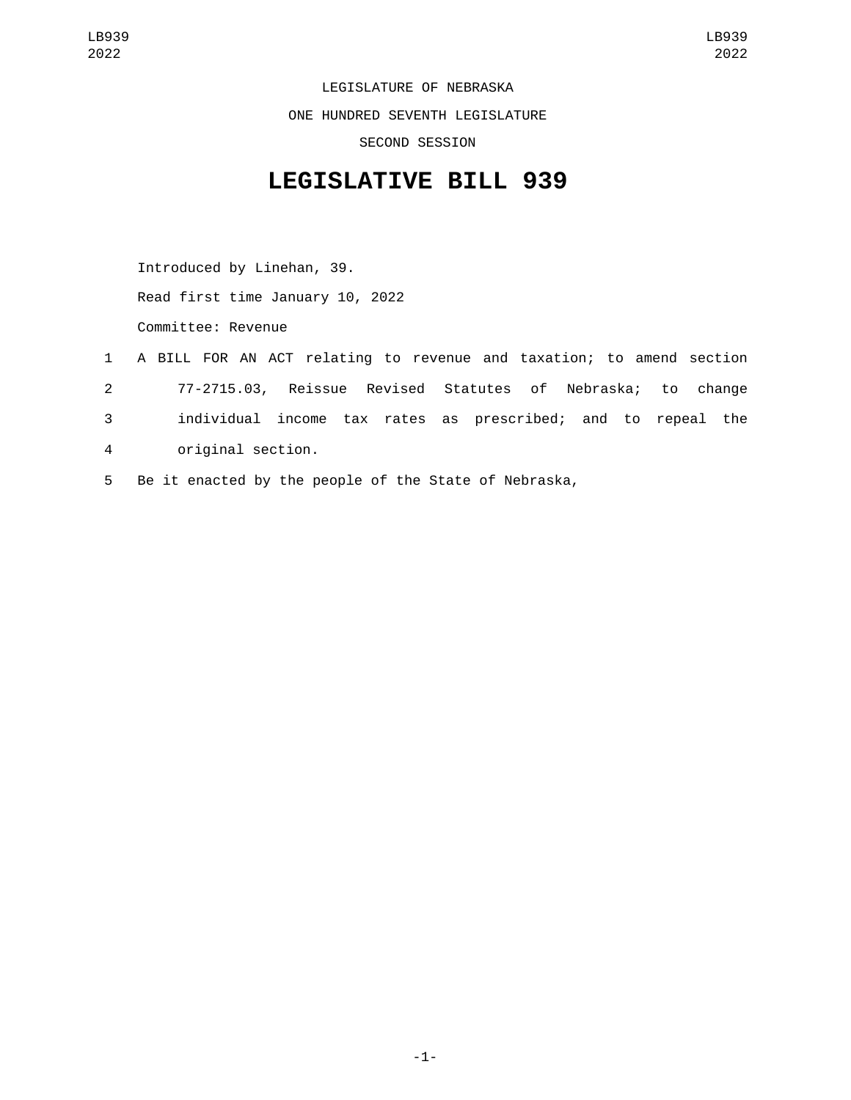LEGISLATURE OF NEBRASKA ONE HUNDRED SEVENTH LEGISLATURE SECOND SESSION

## **LEGISLATIVE BILL 939**

Introduced by Linehan, 39. Read first time January 10, 2022 Committee: Revenue

- 1 A BILL FOR AN ACT relating to revenue and taxation; to amend section 2 77-2715.03, Reissue Revised Statutes of Nebraska; to change 3 individual income tax rates as prescribed; and to repeal the original section.4
- 5 Be it enacted by the people of the State of Nebraska,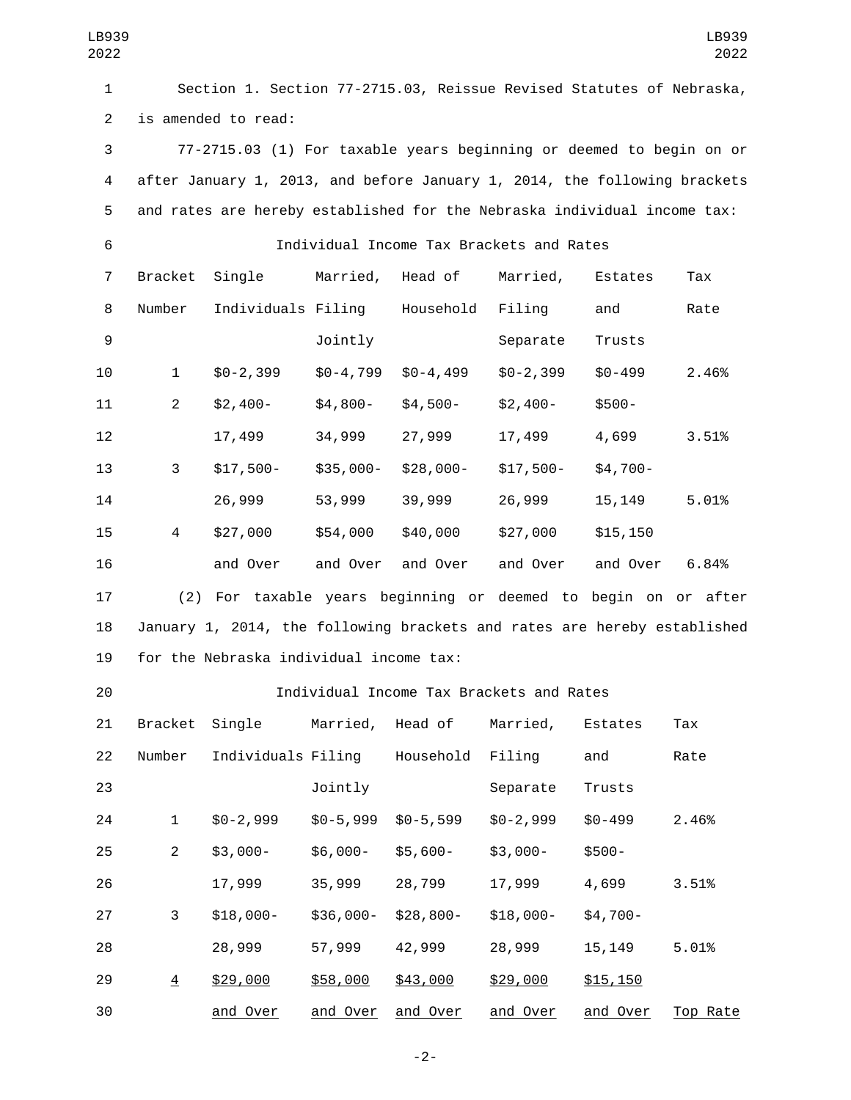| LB939<br>2022  |                                                                           |                                                                          |               |                  |                                          |            | LB939<br>2022 |  |  |  |
|----------------|---------------------------------------------------------------------------|--------------------------------------------------------------------------|---------------|------------------|------------------------------------------|------------|---------------|--|--|--|
| $\mathbf{1}$   | Section 1. Section 77-2715.03, Reissue Revised Statutes of Nebraska,      |                                                                          |               |                  |                                          |            |               |  |  |  |
| $\overline{2}$ | is amended to read:                                                       |                                                                          |               |                  |                                          |            |               |  |  |  |
| 3              | 77-2715.03 (1) For taxable years beginning or deemed to begin on or       |                                                                          |               |                  |                                          |            |               |  |  |  |
| 4              | after January 1, 2013, and before January 1, 2014, the following brackets |                                                                          |               |                  |                                          |            |               |  |  |  |
| 5              | and rates are hereby established for the Nebraska individual income tax:  |                                                                          |               |                  |                                          |            |               |  |  |  |
| 6              | Individual Income Tax Brackets and Rates                                  |                                                                          |               |                  |                                          |            |               |  |  |  |
| 7              |                                                                           | Bracket Single                                                           |               | Married, Head of | Married,                                 | Estates    | Tax           |  |  |  |
| 8              | Number                                                                    | Individuals Filing Household                                             |               |                  | Filing                                   | and        | Rate          |  |  |  |
| 9              |                                                                           |                                                                          | Jointly       |                  | Separate                                 | Trusts     |               |  |  |  |
| 10             | $\mathbf{1}$                                                              | \$0-2,399                                                                | $$0 - 4, 799$ | $$0 - 4, 499$    | $$0 - 2, 399$                            | $$0 - 499$ | 2.46%         |  |  |  |
| 11             | $\overline{2}$                                                            | $$2,400-$                                                                | $$4,800-$     | \$4,500-         | \$2,400-                                 | $$500-$    |               |  |  |  |
| 12             |                                                                           | 17,499                                                                   | 34,999        | 27,999           | 17,499                                   | 4,699      | 3.51%         |  |  |  |
| 13             | 3                                                                         | $$17,500-$                                                               | \$35,000-     | \$28,000-        | \$17,500-                                | $$4,700-$  |               |  |  |  |
| 14             |                                                                           | 26,999                                                                   | 53,999        | 39,999           | 26,999                                   | 15, 149    | 5.01%         |  |  |  |
| 15             | 4                                                                         | \$27,000                                                                 | \$54,000      | \$40,000         | \$27,000                                 | \$15, 150  |               |  |  |  |
| 16             |                                                                           | and Over                                                                 | and Over      | and Over         | and Over                                 | and Over   | 6.84%         |  |  |  |
| 17             |                                                                           | (2) For taxable years beginning or deemed to begin on or after           |               |                  |                                          |            |               |  |  |  |
| 18             |                                                                           | January 1, 2014, the following brackets and rates are hereby established |               |                  |                                          |            |               |  |  |  |
| 19             |                                                                           | for the Nebraska individual income tax:                                  |               |                  |                                          |            |               |  |  |  |
| 20             |                                                                           |                                                                          |               |                  | Individual Income Tax Brackets and Rates |            |               |  |  |  |
| 21             | Bracket                                                                   | Single                                                                   | Married,      | Head of          | Married,                                 | Estates    | Tax           |  |  |  |
| 22             | Number                                                                    | Individuals Filing                                                       |               | Household        | Filing                                   | and        | Rate          |  |  |  |
| 23             |                                                                           |                                                                          | Jointly       |                  | Separate                                 | Trusts     |               |  |  |  |
| 24             | $\mathbf{1}$                                                              | $$0-2,999$                                                               | $$0-5,999$    | $$0-5,599$       | $$0-2,999$                               | $$0 - 499$ | 2.46%         |  |  |  |
| 25             | $\overline{2}$                                                            | $$3,000-$                                                                | $$6,000-$     | $$5,600-$        | $$3,000-$                                | \$500-     |               |  |  |  |
| 26             |                                                                           | 17,999                                                                   | 35,999        | 28,799           | 17,999                                   | 4,699      | 3.51%         |  |  |  |
| 27             | 3                                                                         | $$18,000-$                                                               | $$36,000-$    | $$28,800-$       | $$18,000-$                               | $$4,700-$  |               |  |  |  |
| 28             |                                                                           | 28,999                                                                   | 57,999        | 42,999           | 28,999                                   | 15, 149    | 5.01%         |  |  |  |
| 29             | $\overline{4}$                                                            | \$29,000                                                                 | \$58,000      | \$43,000         | \$29,000                                 | \$15,150   |               |  |  |  |
| 30             |                                                                           | and Over                                                                 | and Over      | and Over         | and Over                                 | and Over   | Top Rate      |  |  |  |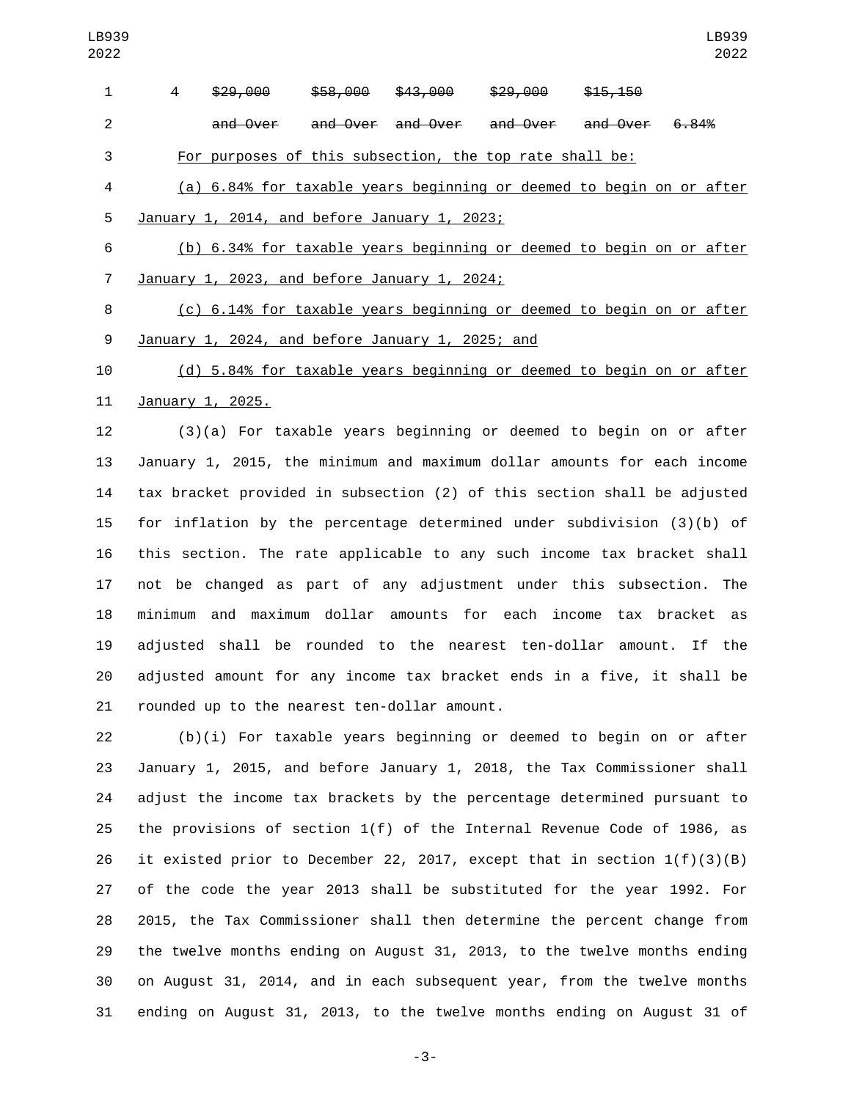| $\mathbf{1}$   | 4                                                | \$29,000                                                                 | \$58,000 | <del>\$43,000</del> | <del>\$29,000</del>          | \$15,150 |       |  |  |
|----------------|--------------------------------------------------|--------------------------------------------------------------------------|----------|---------------------|------------------------------|----------|-------|--|--|
| $\overline{2}$ |                                                  | and Over                                                                 |          | and Over and Over   | <del>and Over and Over</del> |          | 6.84% |  |  |
| 3              |                                                  | For purposes of this subsection, the top rate shall be:                  |          |                     |                              |          |       |  |  |
| 4              |                                                  | (a) 6.84% for taxable years beginning or deemed to begin on or after     |          |                     |                              |          |       |  |  |
| 5              |                                                  | January 1, 2014, and before January 1, 2023;                             |          |                     |                              |          |       |  |  |
| 6              |                                                  | (b) 6.34% for taxable years beginning or deemed to begin on or after     |          |                     |                              |          |       |  |  |
| $\overline{7}$ | January 1, 2023, and before January 1, 2024;     |                                                                          |          |                     |                              |          |       |  |  |
| 8              |                                                  | (c) 6.14% for taxable years beginning or deemed to begin on or after     |          |                     |                              |          |       |  |  |
| 9              | January 1, 2024, and before January 1, 2025; and |                                                                          |          |                     |                              |          |       |  |  |
| 10             |                                                  | (d) 5.84% for taxable years beginning or deemed to begin on or after     |          |                     |                              |          |       |  |  |
| 11             |                                                  | January 1, 2025.                                                         |          |                     |                              |          |       |  |  |
| 12             |                                                  | $(3)(a)$ For taxable years beginning or deemed to begin on or after      |          |                     |                              |          |       |  |  |
| 13             |                                                  | January 1, 2015, the minimum and maximum dollar amounts for each income  |          |                     |                              |          |       |  |  |
| 14             |                                                  | tax bracket provided in subsection (2) of this section shall be adjusted |          |                     |                              |          |       |  |  |
| 15             |                                                  | for inflation by the percentage determined under subdivision $(3)(b)$ of |          |                     |                              |          |       |  |  |
| 16             |                                                  | this section. The rate applicable to any such income tax bracket shall   |          |                     |                              |          |       |  |  |
| 17             |                                                  | not be changed as part of any adjustment under this subsection. The      |          |                     |                              |          |       |  |  |
| 18             |                                                  | minimum and maximum dollar amounts for each income tax bracket           |          |                     |                              |          | as    |  |  |
| 19             |                                                  | adjusted shall be rounded to the nearest ten-dollar amount. If the       |          |                     |                              |          |       |  |  |
| 20             |                                                  | adjusted amount for any income tax bracket ends in a five, it shall be   |          |                     |                              |          |       |  |  |
| 21             |                                                  | rounded up to the nearest ten-dollar amount.                             |          |                     |                              |          |       |  |  |
| 22             |                                                  | $(b)(i)$ For taxable years beginning or deemed to begin on or after      |          |                     |                              |          |       |  |  |
| 23             |                                                  | January 1, 2015, and before January 1, 2018, the Tax Commissioner shall  |          |                     |                              |          |       |  |  |
| 24             |                                                  | adjust the income tax brackets by the percentage determined pursuant to  |          |                     |                              |          |       |  |  |
|                |                                                  |                                                                          |          |                     |                              |          |       |  |  |

 the provisions of section 1(f) of the Internal Revenue Code of 1986, as it existed prior to December 22, 2017, except that in section 1(f)(3)(B) of the code the year 2013 shall be substituted for the year 1992. For 2015, the Tax Commissioner shall then determine the percent change from the twelve months ending on August 31, 2013, to the twelve months ending on August 31, 2014, and in each subsequent year, from the twelve months ending on August 31, 2013, to the twelve months ending on August 31 of

-3-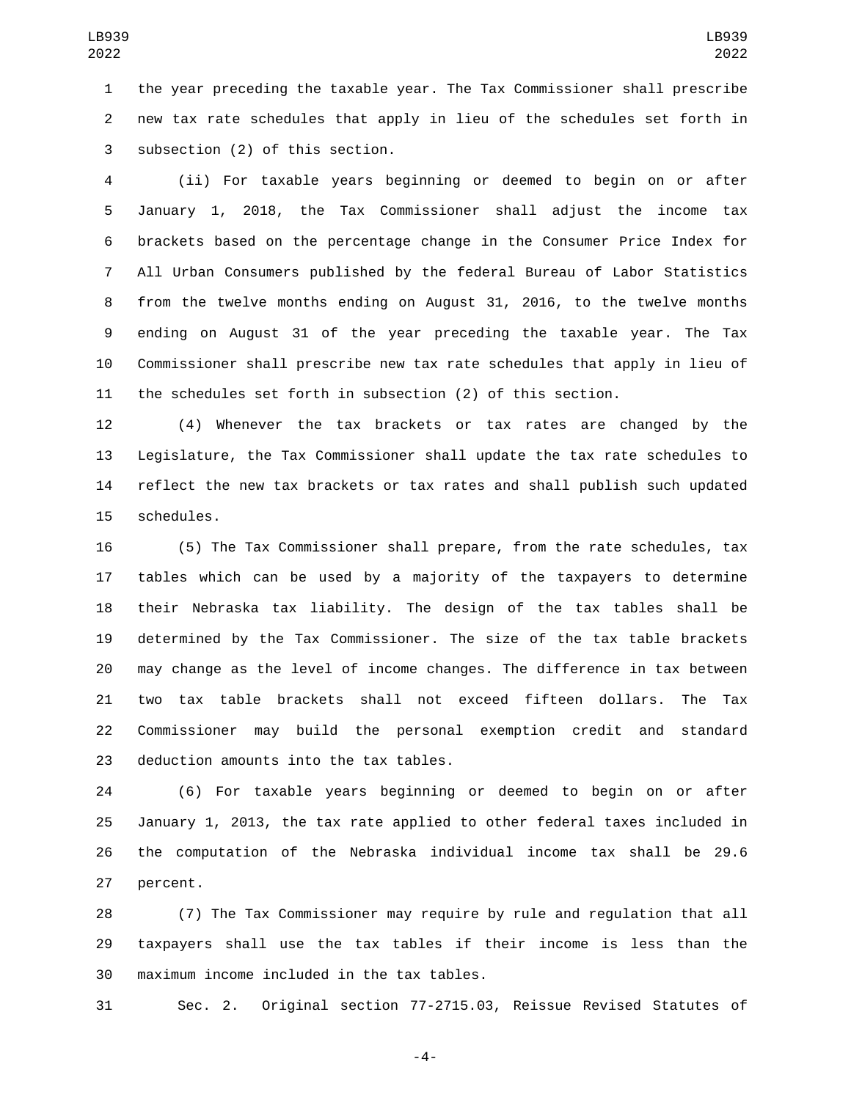the year preceding the taxable year. The Tax Commissioner shall prescribe new tax rate schedules that apply in lieu of the schedules set forth in 3 subsection (2) of this section.

 (ii) For taxable years beginning or deemed to begin on or after January 1, 2018, the Tax Commissioner shall adjust the income tax brackets based on the percentage change in the Consumer Price Index for All Urban Consumers published by the federal Bureau of Labor Statistics from the twelve months ending on August 31, 2016, to the twelve months ending on August 31 of the year preceding the taxable year. The Tax Commissioner shall prescribe new tax rate schedules that apply in lieu of the schedules set forth in subsection (2) of this section.

 (4) Whenever the tax brackets or tax rates are changed by the Legislature, the Tax Commissioner shall update the tax rate schedules to reflect the new tax brackets or tax rates and shall publish such updated 15 schedules.

 (5) The Tax Commissioner shall prepare, from the rate schedules, tax tables which can be used by a majority of the taxpayers to determine their Nebraska tax liability. The design of the tax tables shall be determined by the Tax Commissioner. The size of the tax table brackets may change as the level of income changes. The difference in tax between two tax table brackets shall not exceed fifteen dollars. The Tax Commissioner may build the personal exemption credit and standard 23 deduction amounts into the tax tables.

 (6) For taxable years beginning or deemed to begin on or after January 1, 2013, the tax rate applied to other federal taxes included in the computation of the Nebraska individual income tax shall be 29.6 27 percent.

 (7) The Tax Commissioner may require by rule and regulation that all taxpayers shall use the tax tables if their income is less than the 30 maximum income included in the tax tables.

Sec. 2. Original section 77-2715.03, Reissue Revised Statutes of

-4-